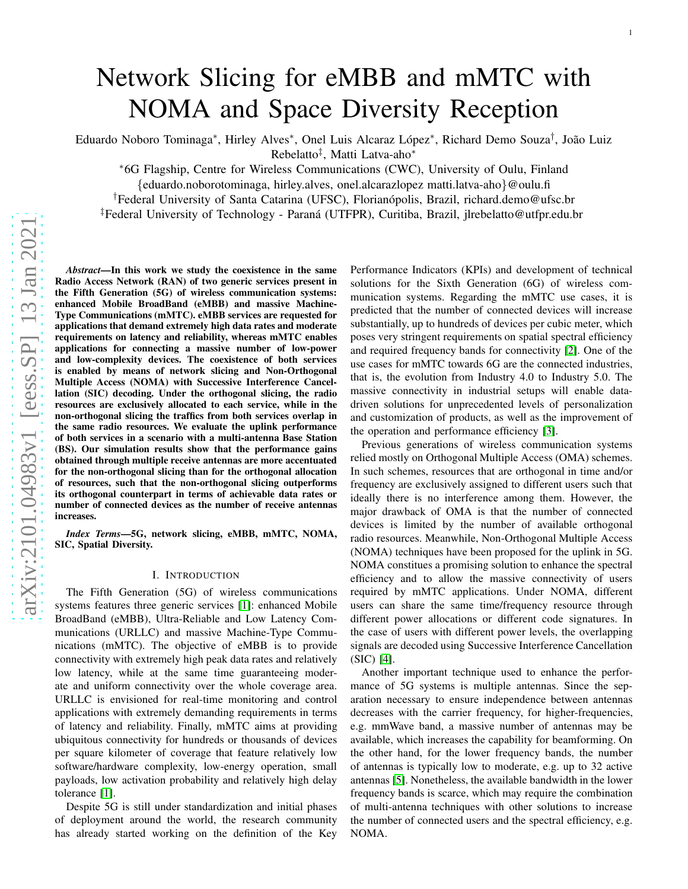# Network Slicing for eMBB and mMTC with NOMA and Space Diversity Reception

Eduardo Noboro Tominaga\*, Hirley Alves\*, Onel Luis Alcaraz López\*, Richard Demo Souza<sup>†</sup>, João Luiz Rebelatto ‡ , Matti Latva-aho ∗

<sup>∗</sup>6G Flagship, Centre for Wireless Communications (CWC), University of Oulu, Finland

{eduardo.noborotominaga, hirley.alves, onel.alcarazlopez matti.latva-aho}@oulu.fi

<sup>†</sup>Federal University of Santa Catarina (UFSC), Florian *opolis*, Brazil, richard.demo@ufsc.br

<sup>‡</sup>Federal University of Technology - Paraná (UTFPR), Curitiba, Brazil, jlrebelatto@utfpr.edu.br

*Abstract*—In this work we study the coexistence in the same Radio Access Network (RAN) of two generic services present i n the Fifth Generation (5G) of wireless communication systems: enhanced Mobile BroadBand (eMBB) and massive Machine-Type Communications (mMTC). eMBB services are requested for applications that demand extremely high data rates and moderate requirements on latency and reliability, whereas mMTC enables applications for connecting a massive number of low-power and low-complexity devices. The coexistence of both services is enabled by means of network slicing and Non-Orthogonal Multiple Access (NOMA) with Successive Interference Cancellation (SIC) decoding. Under the orthogonal slicing, the radio resources are exclusively allocated to each service, while in the non-orthogonal slicing the traffics from both services overlap in the same radio resources. We evaluate the uplink performanc e of both services in a scenario with a multi-antenna Base Station (BS). Our simulation results show that the performance gain s obtained through multiple receive antennas are more accentuated for the non-orthogonal slicing than for the orthogonal allocation of resources, such that the non-orthogonal slicing outperforms its orthogonal counterpart in terms of achievable data rates or number of connected devices as the number of receive antenna s increases.

*Index Terms*—5G, network slicing, eMBB, mMTC, NOMA, SIC, Spatial Diversity.

## I. INTRODUCTION

The Fifth Generation (5G) of wireless communications systems features three generic services [\[1\]](#page-6-0): enhanced Mobile BroadBand (eMBB), Ultra-Reliable and Low Latency Communications (URLLC) and massive Machine-Type Communications (mMTC). The objective of eMBB is to provide connectivity with extremely high peak data rates and relatively low latency, while at the same time guaranteeing moderate and uniform connectivity over the whole coverage area. URLLC is envisioned for real-time monitoring and control applications with extremely demanding requirements in terms of latency and reliability. Finally, mMTC aims at providing ubiquitous connectivity for hundreds or thousands of devices per square kilometer of coverage that feature relatively lo w software/hardware complexity, low-energy operation, small payloads, low activation probability and relatively high delay tolerance [\[1\]](#page-6-0).

Despite 5G is still under standardization and initial phase s of deployment around the world, the research community has already started working on the definition of the Key

Performance Indicators (KPIs) and development of technica l solutions for the Sixth Generation (6G) of wireless communication systems. Regarding the mMTC use cases, it is predicted that the number of connected devices will increas e substantially, up to hundreds of devices per cubic meter, which poses very stringent requirements on spatial spectral efficiency and required frequency bands for connectivity [\[2\]](#page-6-1). One of th e use cases for mMTC towards 6G are the connected industries, that is, the evolution from Industry 4.0 to Industry 5.0. The massive connectivity in industrial setups will enable data driven solutions for unprecedented levels of personalization and customization of products, as well as the improvement of the operation and performance efficiency [\[3\]](#page-6-2).

Previous generations of wireless communication systems relied mostly on Orthogonal Multiple Access (OMA) schemes. In such schemes, resources that are orthogonal in time and/o r frequency are exclusively assigned to different users such that ideally there is no interference among them. However, the major drawback of OMA is that the number of connected devices is limited by the number of available orthogonal radio resources. Meanwhile, Non-Orthogonal Multiple Access (NOMA) techniques have been proposed for the uplink in 5G. NOMA constitues a promising solution to enhance the spectra l efficiency and to allow the massive connectivity of users required by mMTC applications. Under NOMA, different users can share the same time/frequency resource through different power allocations or different code signatures. In the case of users with different power levels, the overlapping signals are decoded using Successive Interference Cancellation (SIC) [\[4\]](#page-6-3).

Another important technique used to enhance the performance of 5G systems is multiple antennas. Since the separation necessary to ensure independence between antennas decreases with the carrier frequency, for higher-frequencies, e.g. mmWave band, a massive number of antennas may be available, which increases the capability for beamforming. On the other hand, for the lower frequency bands, the number of antennas is typically low to moderate, e.g. up to 32 active antennas [\[5\]](#page-6-4). Nonetheless, the available bandwidth in the lower frequency bands is scarce, which may require the combinatio n of multi-antenna techniques with other solutions to increase the number of connected users and the spectral efficiency, e.g. NOMA.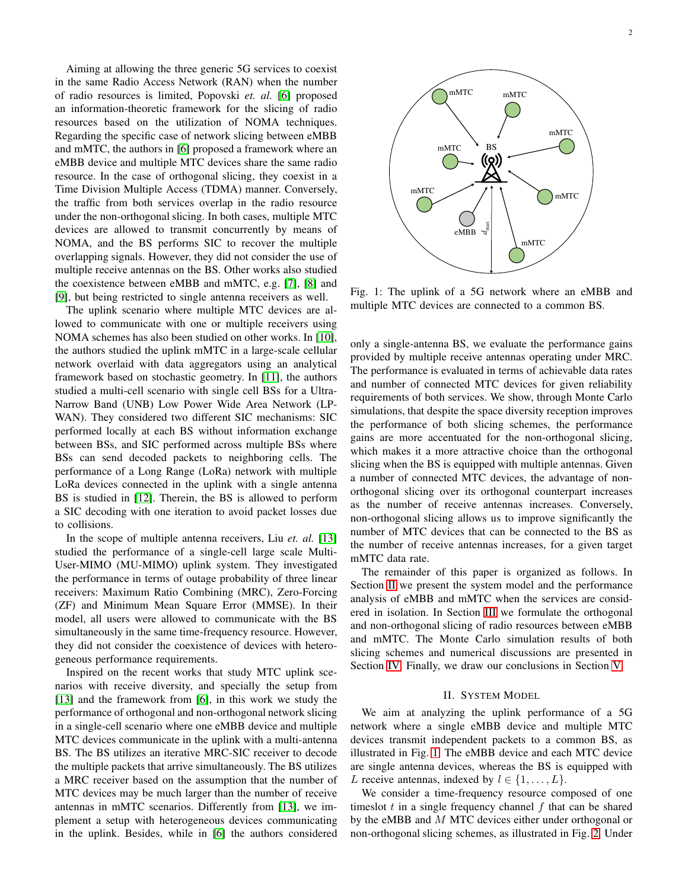Aiming at allowing the three generic 5G services to coexist in the same Radio Access Network (RAN) when the number of radio resources is limited, Popovski *et. al.* [\[6\]](#page-6-5) proposed an information-theoretic framework for the slicing of radio resources based on the utilization of NOMA techniques. Regarding the specific case of network slicing between eMBB and mMTC, the authors in [\[6\]](#page-6-5) proposed a framework where an eMBB device and multiple MTC devices share the same radio resource. In the case of orthogonal slicing, they coexist in a Time Division Multiple Access (TDMA) manner. Conversely, the traffic from both services overlap in the radio resource under the non-orthogonal slicing. In both cases, multiple MTC devices are allowed to transmit concurrently by means of NOMA, and the BS performs SIC to recover the multiple overlapping signals. However, they did not consider the use of multiple receive antennas on the BS. Other works also studied the coexistence between eMBB and mMTC, e.g. [\[7\]](#page-6-6), [\[8\]](#page-6-7) and [\[9\]](#page-6-8), but being restricted to single antenna receivers as well.

The uplink scenario where multiple MTC devices are allowed to communicate with one or multiple receivers using NOMA schemes has also been studied on other works. In [\[10\]](#page-6-9), the authors studied the uplink mMTC in a large-scale cellular network overlaid with data aggregators using an analytical framework based on stochastic geometry. In [\[11\]](#page-6-10), the authors studied a multi-cell scenario with single cell BSs for a Ultra-Narrow Band (UNB) Low Power Wide Area Network (LP-WAN). They considered two different SIC mechanisms: SIC performed locally at each BS without information exchange between BSs, and SIC performed across multiple BSs where BSs can send decoded packets to neighboring cells. The performance of a Long Range (LoRa) network with multiple LoRa devices connected in the uplink with a single antenna BS is studied in [\[12\]](#page-6-11). Therein, the BS is allowed to perform a SIC decoding with one iteration to avoid packet losses due to collisions.

In the scope of multiple antenna receivers, Liu *et. al.* [\[13\]](#page-6-12) studied the performance of a single-cell large scale Multi-User-MIMO (MU-MIMO) uplink system. They investigated the performance in terms of outage probability of three linear receivers: Maximum Ratio Combining (MRC), Zero-Forcing (ZF) and Minimum Mean Square Error (MMSE). In their model, all users were allowed to communicate with the BS simultaneously in the same time-frequency resource. However, they did not consider the coexistence of devices with heterogeneous performance requirements.

Inspired on the recent works that study MTC uplink scenarios with receive diversity, and specially the setup from [\[13\]](#page-6-12) and the framework from [\[6\]](#page-6-5), in this work we study the performance of orthogonal and non-orthogonal network slicing in a single-cell scenario where one eMBB device and multiple MTC devices communicate in the uplink with a multi-antenna BS. The BS utilizes an iterative MRC-SIC receiver to decode the multiple packets that arrive simultaneously. The BS utilizes a MRC receiver based on the assumption that the number of MTC devices may be much larger than the number of receive antennas in mMTC scenarios. Differently from [\[13\]](#page-6-12), we implement a setup with heterogeneous devices communicating in the uplink. Besides, while in [\[6\]](#page-6-5) the authors considered

<span id="page-1-1"></span>

Fig. 1: The uplink of a 5G network where an eMBB and multiple MTC devices are connected to a common BS.

only a single-antenna BS, we evaluate the performance gains provided by multiple receive antennas operating under MRC. The performance is evaluated in terms of achievable data rates and number of connected MTC devices for given reliability requirements of both services. We show, through Monte Carlo simulations, that despite the space diversity reception improves the performance of both slicing schemes, the performance gains are more accentuated for the non-orthogonal slicing, which makes it a more attractive choice than the orthogonal slicing when the BS is equipped with multiple antennas. Given a number of connected MTC devices, the advantage of nonorthogonal slicing over its orthogonal counterpart increases as the number of receive antennas increases. Conversely, non-orthogonal slicing allows us to improve significantly the number of MTC devices that can be connected to the BS as the number of receive antennas increases, for a given target mMTC data rate.

The remainder of this paper is organized as follows. In Section [II](#page-1-0) we present the system model and the performance analysis of eMBB and mMTC when the services are considered in isolation. In Section [III](#page-3-0) we formulate the orthogonal and non-orthogonal slicing of radio resources between eMBB and mMTC. The Monte Carlo simulation results of both slicing schemes and numerical discussions are presented in Section [IV.](#page-4-0) Finally, we draw our conclusions in Section [V.](#page-5-0)

#### II. SYSTEM MODEL

<span id="page-1-0"></span>We aim at analyzing the uplink performance of a 5G network where a single eMBB device and multiple MTC devices transmit independent packets to a common BS, as illustrated in Fig. [1.](#page-1-1) The eMBB device and each MTC device are single antenna devices, whereas the BS is equipped with L receive antennas, indexed by  $l \in \{1, \ldots, L\}$ .

We consider a time-frequency resource composed of one timeslot  $t$  in a single frequency channel  $f$  that can be shared by the eMBB and M MTC devices either under orthogonal or non-orthogonal slicing schemes, as illustrated in Fig. [2.](#page-2-0) Under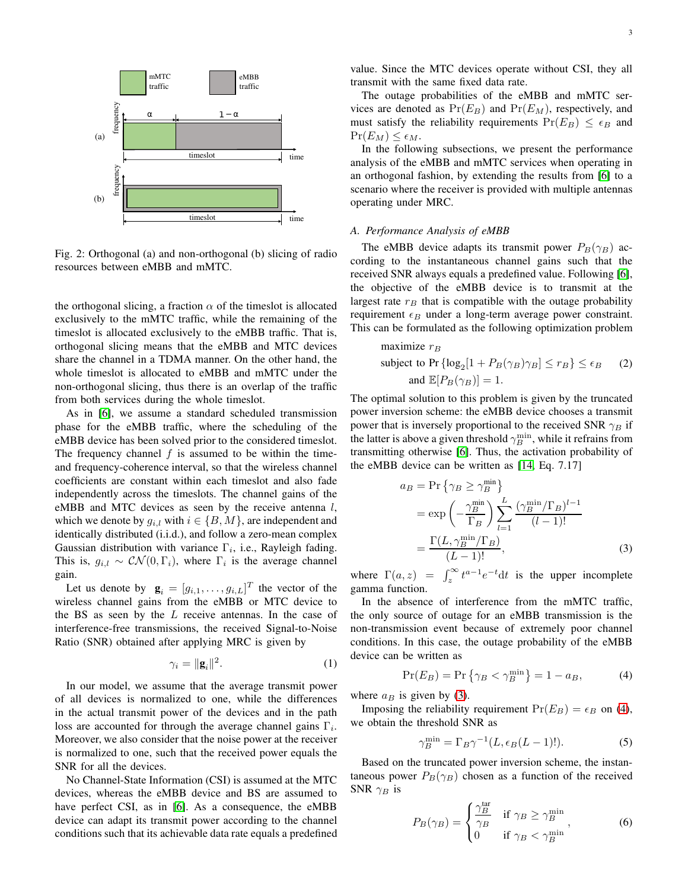<span id="page-2-0"></span>

Fig. 2: Orthogonal (a) and non-orthogonal (b) slicing of radio resources between eMBB and mMTC.

the orthogonal slicing, a fraction  $\alpha$  of the timeslot is allocated exclusively to the mMTC traffic, while the remaining of the timeslot is allocated exclusively to the eMBB traffic. That is, orthogonal slicing means that the eMBB and MTC devices share the channel in a TDMA manner. On the other hand, the whole timeslot is allocated to eMBB and mMTC under the non-orthogonal slicing, thus there is an overlap of the traffic from both services during the whole timeslot.

As in [\[6\]](#page-6-5), we assume a standard scheduled transmission phase for the eMBB traffic, where the scheduling of the eMBB device has been solved prior to the considered timeslot. The frequency channel  $f$  is assumed to be within the timeand frequency-coherence interval, so that the wireless channel coefficients are constant within each timeslot and also fade independently across the timeslots. The channel gains of the eMBB and MTC devices as seen by the receive antenna l, which we denote by  $g_{i,l}$  with  $i \in \{B, M\}$ , are independent and identically distributed (i.i.d.), and follow a zero-mean complex Gaussian distribution with variance  $\Gamma_i$ , i.e., Rayleigh fading. This is,  $g_{i,l} \sim \mathcal{CN}(0,\Gamma_i)$ , where  $\Gamma_i$  is the average channel gain.

Let us denote by  $\mathbf{g}_i = [g_{i,1}, \dots, g_{i,L}]^T$  the vector of the wireless channel gains from the eMBB or MTC device to the BS as seen by the L receive antennas. In the case of interference-free transmissions, the received Signal-to-Noise Ratio (SNR) obtained after applying MRC is given by

$$
\gamma_i = \|\mathbf{g}_i\|^2. \tag{1}
$$

In our model, we assume that the average transmit power of all devices is normalized to one, while the differences in the actual transmit power of the devices and in the path loss are accounted for through the average channel gains  $\Gamma_i$ . Moreover, we also consider that the noise power at the receiver is normalized to one, such that the received power equals the SNR for all the devices.

No Channel-State Information (CSI) is assumed at the MTC devices, whereas the eMBB device and BS are assumed to have perfect CSI, as in [\[6\]](#page-6-5). As a consequence, the eMBB device can adapt its transmit power according to the channel conditions such that its achievable data rate equals a predefined value. Since the MTC devices operate without CSI, they all transmit with the same fixed data rate.

The outage probabilities of the eMBB and mMTC services are denoted as  $Pr(E_B)$  and  $Pr(E_M)$ , respectively, and must satisfy the reliability requirements  $Pr(E_B) \leq \epsilon_B$  and  $Pr(E_M) \leq \epsilon_M$ .

In the following subsections, we present the performance analysis of the eMBB and mMTC services when operating in an orthogonal fashion, by extending the results from [\[6\]](#page-6-5) to a scenario where the receiver is provided with multiple antennas operating under MRC.

#### *A. Performance Analysis of eMBB*

The eMBB device adapts its transmit power  $P_B(\gamma_B)$  according to the instantaneous channel gains such that the received SNR always equals a predefined value. Following [\[6\]](#page-6-5), the objective of the eMBB device is to transmit at the largest rate  $r_B$  that is compatible with the outage probability requirement  $\epsilon_B$  under a long-term average power constraint. This can be formulated as the following optimization problem

maximize 
$$
r_B
$$
  
subject to  $\Pr\{\log_2[1 + P_B(\gamma_B)\gamma_B] \le r_B\} \le \epsilon_B$  (2)  
and  $\mathbb{E}[P_B(\gamma_B)] = 1$ .

The optimal solution to this problem is given by the truncated power inversion scheme: the eMBB device chooses a transmit power that is inversely proportional to the received SNR  $\gamma_B$  if the latter is above a given threshold  $\gamma_B^\text{min}$ , while it refrains from transmitting otherwise [\[6\]](#page-6-5). Thus, the activation probability of the eMBB device can be written as [\[14,](#page-6-13) Eq. 7.17]

<span id="page-2-1"></span>
$$
a_B = \Pr \{ \gamma_B \ge \gamma_B^{\min} \}
$$
  
= 
$$
\exp \left( -\frac{\gamma_B^{\min}}{\Gamma_B} \right) \sum_{l=1}^{L} \frac{(\gamma_B^{\min}/\Gamma_B)^{l-1}}{(l-1)!}
$$
  
= 
$$
\frac{\Gamma(L, \gamma_B^{\min}/\Gamma_B)}{(L-1)!},
$$
 (3)

where  $\Gamma(a, z) = \int_z^{\infty} t^{a-1} e^{-t} dt$  is the upper incomplete gamma function.

In the absence of interference from the mMTC traffic, the only source of outage for an eMBB transmission is the non-transmission event because of extremely poor channel conditions. In this case, the outage probability of the eMBB device can be written as

<span id="page-2-2"></span>
$$
\Pr(E_B) = \Pr\left\{\gamma_B < \gamma_B^{\min}\right\} = 1 - a_B,\tag{4}
$$

where  $a_B$  is given by [\(3\)](#page-2-1).

Imposing the reliability requirement  $Pr(E_B) = \epsilon_B$  on [\(4\)](#page-2-2), we obtain the threshold SNR as

$$
\gamma_B^{\min} = \Gamma_B \gamma^{-1} (L, \epsilon_B (L-1)!). \tag{5}
$$

Based on the truncated power inversion scheme, the instantaneous power  $P_B(\gamma_B)$  chosen as a function of the received SNR  $\gamma_B$  is

$$
P_B(\gamma_B) = \begin{cases} \frac{\gamma_B^{\text{tar}}}{\gamma_B} & \text{if } \gamma_B \ge \gamma_B^{\text{min}} \\ 0 & \text{if } \gamma_B < \gamma_B^{\text{min}} \end{cases}, \tag{6}
$$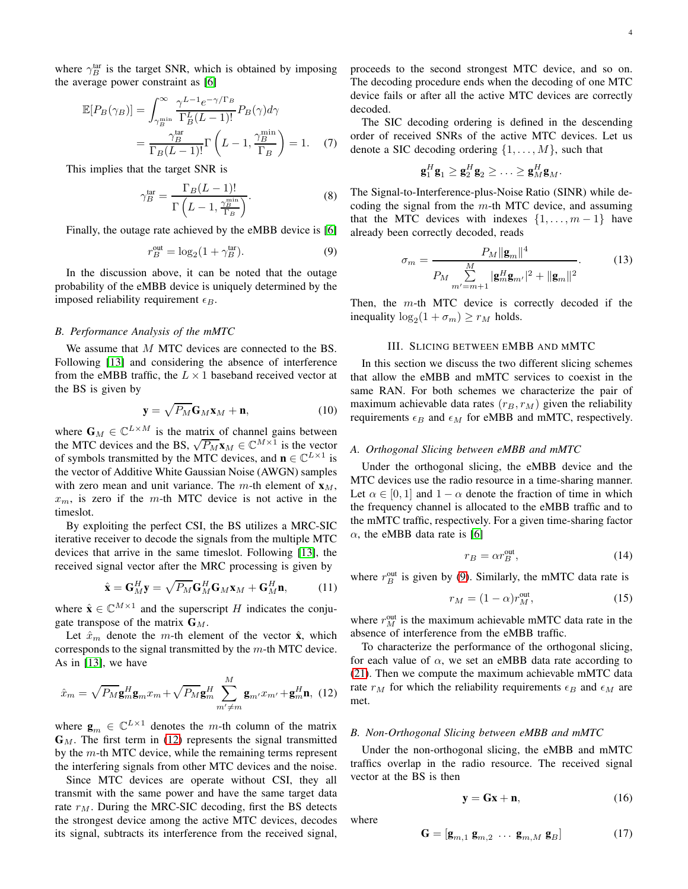4

where  $\gamma_B^{\text{tar}}$  is the target SNR, which is obtained by imposing the average power constraint as [\[6\]](#page-6-5)

$$
\mathbb{E}[P_B(\gamma_B)] = \int_{\gamma_B^{\min}}^{\infty} \frac{\gamma^{L-1} e^{-\gamma/\Gamma_B}}{\Gamma_B^L (L-1)!} P_B(\gamma) d\gamma
$$

$$
= \frac{\gamma_B^{\text{tar}}}{\Gamma_B (L-1)!} \Gamma\left(L-1, \frac{\gamma_B^{\min}}{\Gamma_B}\right) = 1. \quad (7)
$$

This implies that the target SNR is

$$
\gamma_B^{\text{tar}} = \frac{\Gamma_B (L - 1)!}{\Gamma \left( L - 1, \frac{\gamma_B^{\text{min}}}{\Gamma_B} \right)}.
$$
\n(8)

Finally, the outage rate achieved by the eMBB device is [\[6\]](#page-6-5)

<span id="page-3-2"></span>
$$
r_B^{\text{out}} = \log_2(1 + \gamma_B^{\text{tar}}). \tag{9}
$$

In the discussion above, it can be noted that the outage probability of the eMBB device is uniquely determined by the imposed reliability requirement  $\epsilon_B$ .

# <span id="page-3-3"></span>*B. Performance Analysis of the mMTC*

We assume that  $M$  MTC devices are connected to the BS. Following [\[13\]](#page-6-12) and considering the absence of interference from the eMBB traffic, the  $L \times 1$  baseband received vector at the BS is given by

$$
\mathbf{y} = \sqrt{P_M} \mathbf{G}_M \mathbf{x}_M + \mathbf{n},\tag{10}
$$

where  $\mathbf{G}_M \in \mathbb{C}^{L \times M}$  is the matrix of channel gains between the MTC devices and the BS,  $\sqrt{P_M} \mathbf{x}_M \in \mathbb{C}^{M \times 1}$  is the vector of symbols transmitted by the MTC devices, and  $\mathbf{n} \in \mathbb{C}^{L \times 1}$  is the vector of Additive White Gaussian Noise (AWGN) samples with zero mean and unit variance. The m-th element of  $x_M$ ,  $x_m$ , is zero if the m-th MTC device is not active in the timeslot.

By exploiting the perfect CSI, the BS utilizes a MRC-SIC iterative receiver to decode the signals from the multiple MTC devices that arrive in the same timeslot. Following [\[13\]](#page-6-12), the received signal vector after the MRC processing is given by

$$
\hat{\mathbf{x}} = \mathbf{G}_M^H \mathbf{y} = \sqrt{P_M} \mathbf{G}_M^H \mathbf{G}_M \mathbf{x}_M + \mathbf{G}_M^H \mathbf{n},\tag{11}
$$

where  $\hat{\mathbf{x}} \in \mathbb{C}^{M \times 1}$  and the superscript H indicates the conjugate transpose of the matrix  $G_M$ .

Let  $\hat{x}_m$  denote the m-th element of the vector  $\hat{x}$ , which corresponds to the signal transmitted by the  $m$ -th MTC device. As in [\[13\]](#page-6-12), we have

<span id="page-3-1"></span>
$$
\hat{x}_m = \sqrt{P_M} \mathbf{g}_m^H \mathbf{g}_m x_m + \sqrt{P_M} \mathbf{g}_m^H \sum_{m' \neq m}^{M} \mathbf{g}_{m'} x_{m'} + \mathbf{g}_m^H \mathbf{n}, \tag{12}
$$

where  $\mathbf{g}_m \in \mathbb{C}^{L \times 1}$  denotes the *m*-th column of the matrix  $G_M$ . The first term in [\(12\)](#page-3-1) represents the signal transmitted by the  $m$ -th MTC device, while the remaining terms represent the interfering signals from other MTC devices and the noise.

Since MTC devices are operate without CSI, they all transmit with the same power and have the same target data rate  $r_M$ . During the MRC-SIC decoding, first the BS detects the strongest device among the active MTC devices, decodes its signal, subtracts its interference from the received signal, proceeds to the second strongest MTC device, and so on. The decoding procedure ends when the decoding of one MTC device fails or after all the active MTC devices are correctly decoded.

The SIC decoding ordering is defined in the descending order of received SNRs of the active MTC devices. Let us denote a SIC decoding ordering  $\{1, \ldots, M\}$ , such that

$$
\mathbf{g}_1^H \mathbf{g}_1 \geq \mathbf{g}_2^H \mathbf{g}_2 \geq \ldots \geq \mathbf{g}_M^H \mathbf{g}_M.
$$

The Signal-to-Interference-plus-Noise Ratio (SINR) while decoding the signal from the  $m$ -th MTC device, and assuming that the MTC devices with indexes  $\{1, \ldots, m-1\}$  have already been correctly decoded, reads

$$
\sigma_m = \frac{P_M \|\mathbf{g}_m\|^4}{P_M \sum_{m'=m+1}^M |\mathbf{g}_m^H \mathbf{g}_{m'}|^2 + \|\mathbf{g}_m\|^2}.
$$
 (13)

<span id="page-3-0"></span>Then, the  $m$ -th MTC device is correctly decoded if the inequality  $\log_2(1 + \sigma_m) \ge r_M$  holds.

# III. SLICING BETWEEN EMBB AND MMTC

In this section we discuss the two different slicing schemes that allow the eMBB and mMTC services to coexist in the same RAN. For both schemes we characterize the pair of maximum achievable data rates  $(r_B, r_M)$  given the reliability requirements  $\epsilon_B$  and  $\epsilon_M$  for eMBB and mMTC, respectively.

## *A. Orthogonal Slicing between eMBB and mMTC*

Under the orthogonal slicing, the eMBB device and the MTC devices use the radio resource in a time-sharing manner. Let  $\alpha \in [0, 1]$  and  $1 - \alpha$  denote the fraction of time in which the frequency channel is allocated to the eMBB traffic and to the mMTC traffic, respectively. For a given time-sharing factor  $\alpha$ , the eMBB data rate is [\[6\]](#page-6-5)

$$
r_B = \alpha r_B^{\text{out}},\tag{14}
$$

where  $r_B^{\text{out}}$  is given by [\(9\)](#page-3-2). Similarly, the mMTC data rate is

$$
r_M = (1 - \alpha)r_M^{\text{out}},\tag{15}
$$

where  $r_M^{\text{out}}$  is the maximum achievable mMTC data rate in the absence of interference from the eMBB traffic.

To characterize the performance of the orthogonal slicing, for each value of  $\alpha$ , we set an eMBB data rate according to [\(21\)](#page-4-1). Then we compute the maximum achievable mMTC data rate  $r_M$  for which the reliability requirements  $\epsilon_B$  and  $\epsilon_M$  are met.

#### *B. Non-Orthogonal Slicing between eMBB and mMTC*

Under the non-orthogonal slicing, the eMBB and mMTC traffics overlap in the radio resource. The received signal vector at the BS is then

$$
y = Gx + n,\t(16)
$$

where

$$
\mathbf{G} = [\mathbf{g}_{m,1} \; \mathbf{g}_{m,2} \; \cdots \; \mathbf{g}_{m,M} \; \mathbf{g}_B] \tag{17}
$$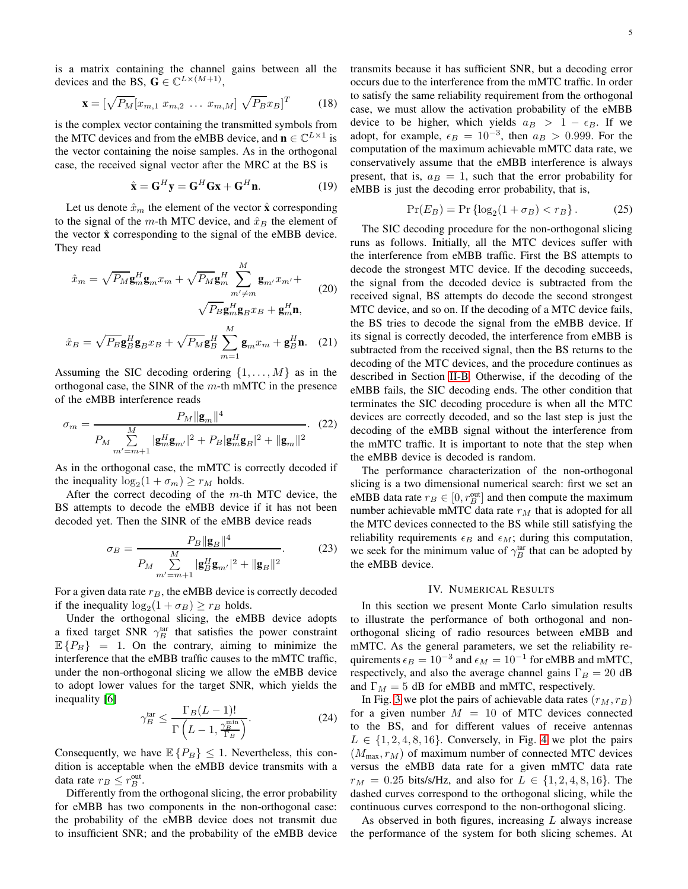is a matrix containing the channel gains between all the devices and the BS,  $\mathbf{G} \in \mathbb{C}^{L \times (M+1)}$ ,

$$
\mathbf{x} = [\sqrt{P_M}[x_{m,1} \ x_{m,2} \ \dots \ x_{m,M}] \ \sqrt{P_B} x_B]^T \tag{18}
$$

is the complex vector containing the transmitted symbols from the MTC devices and from the eMBB device, and  $\mathbf{n} \in \mathbb{C}^{L \times 1}$  is the vector containing the noise samples. As in the orthogonal case, the received signal vector after the MRC at the BS is

$$
\hat{\mathbf{x}} = \mathbf{G}^H \mathbf{y} = \mathbf{G}^H \mathbf{G} \mathbf{x} + \mathbf{G}^H \mathbf{n}.
$$
 (19)

M

 $\overline{m=1}$ 

Let us denote  $\hat{x}_m$  the element of the vector  $\hat{x}$  corresponding to the signal of the m-th MTC device, and  $\hat{x}_B$  the element of the vector  $\hat{x}$  corresponding to the signal of the eMBB device. They read

$$
\hat{x}_m = \sqrt{P_M} \mathbf{g}_m^H \mathbf{g}_m x_m + \sqrt{P_M} \mathbf{g}_m^H \sum_{m' \neq m}^{M} \mathbf{g}_{m'} x_{m'} +
$$
\n
$$
\sqrt{P_B} \mathbf{g}_m^H \mathbf{g}_B x_B + \mathbf{g}_m^H \mathbf{n},
$$
\n
$$
\hat{x}_B = \sqrt{P_B} \mathbf{g}_B^H \mathbf{g}_B x_B + \sqrt{P_M} \mathbf{g}_B^H \sum_{m'}^{M} \mathbf{g}_m x_m + \mathbf{g}_B^H \mathbf{n}. \quad (21)
$$

<span id="page-4-1"></span>Assuming the SIC decoding ordering  $\{1, \ldots, M\}$  as in the orthogonal case, the SINR of the  $m$ -th mMTC in the presence of the eMBB interference reads

$$
\sigma_m = \frac{P_M \|\mathbf{g}_m\|^4}{P_M \sum_{m'=m+1}^M |\mathbf{g}_m^H \mathbf{g}_{m'}|^2 + P_B |\mathbf{g}_m^H \mathbf{g}_B|^2 + ||\mathbf{g}_m||^2}.
$$
 (22)

As in the orthogonal case, the mMTC is correctly decoded if the inequality  $\log_2(1 + \sigma_m) \ge r_M$  holds.

After the correct decoding of the  $m$ -th MTC device, the BS attempts to decode the eMBB device if it has not been decoded yet. Then the SINR of the eMBB device reads

$$
\sigma_B = \frac{P_B \|\mathbf{g}_B\|^4}{P_M \sum_{m'=m+1}^M |\mathbf{g}_B^H \mathbf{g}_{m'}|^2 + \|\mathbf{g}_B\|^2}.
$$
 (23)

For a given data rate  $r_B$ , the eMBB device is correctly decoded if the inequality  $\log_2(1 + \sigma_B) \ge r_B$  holds.

Under the orthogonal slicing, the eMBB device adopts a fixed target SNR  $\gamma_B^{\text{tar}}$  that satisfies the power constraint  $\mathbb{E}\{P_B\} = 1$ . On the contrary, aiming to minimize the interference that the eMBB traffic causes to the mMTC traffic, under the non-orthogonal slicing we allow the eMBB device to adopt lower values for the target SNR, which yields the inequality [\[6\]](#page-6-5)

$$
\gamma_B^{\text{tar}} \le \frac{\Gamma_B (L-1)!}{\Gamma\left(L-1, \frac{\gamma_B^{\text{min}}}{\Gamma_B}\right)}.\tag{24}
$$

Consequently, we have  $\mathbb{E}\{P_B\} \leq 1$ . Nevertheless, this condition is acceptable when the eMBB device transmits with a data rate  $r_B \leq r_B^{\text{out}}$ .

Differently from the orthogonal slicing, the error probability for eMBB has two components in the non-orthogonal case: the probability of the eMBB device does not transmit due to insufficient SNR; and the probability of the eMBB device transmits because it has sufficient SNR, but a decoding error occurs due to the interference from the mMTC traffic. In order to satisfy the same reliability requirement from the orthogonal case, we must allow the activation probability of the eMBB device to be higher, which yields  $a_B > 1 - \epsilon_B$ . If we adopt, for example,  $\epsilon_B = 10^{-3}$ , then  $a_B > 0.999$ . For the computation of the maximum achievable mMTC data rate, we conservatively assume that the eMBB interference is always present, that is,  $a_B = 1$ , such that the error probability for eMBB is just the decoding error probability, that is,

$$
Pr(E_B) = Pr\{\log_2(1 + \sigma_B) < r_B\}.\tag{25}
$$

The SIC decoding procedure for the non-orthogonal slicing runs as follows. Initially, all the MTC devices suffer with the interference from eMBB traffic. First the BS attempts to decode the strongest MTC device. If the decoding succeeds, the signal from the decoded device is subtracted from the received signal, BS attempts do decode the second strongest MTC device, and so on. If the decoding of a MTC device fails, the BS tries to decode the signal from the eMBB device. If its signal is correctly decoded, the interference from eMBB is subtracted from the received signal, then the BS returns to the decoding of the MTC devices, and the procedure continues as described in Section [II-B.](#page-3-3) Otherwise, if the decoding of the eMBB fails, the SIC decoding ends. The other condition that terminates the SIC decoding procedure is when all the MTC devices are correctly decoded, and so the last step is just the decoding of the eMBB signal without the interference from the mMTC traffic. It is important to note that the step when the eMBB device is decoded is random.

The performance characterization of the non-orthogonal slicing is a two dimensional numerical search: first we set an eMBB data rate  $r_B \in [0, r_B^{\text{out}}]$  and then compute the maximum number achievable mMTC data rate  $r_M$  that is adopted for all the MTC devices connected to the BS while still satisfying the reliability requirements  $\epsilon_B$  and  $\epsilon_M$ ; during this computation, we seek for the minimum value of  $\gamma_B^{\text{tar}}$  that can be adopted by the eMBB device.

#### IV. NUMERICAL RESULTS

<span id="page-4-0"></span>In this section we present Monte Carlo simulation results to illustrate the performance of both orthogonal and nonorthogonal slicing of radio resources between eMBB and mMTC. As the general parameters, we set the reliability requirements  $\epsilon_B = 10^{-3}$  and  $\epsilon_M = 10^{-1}$  for eMBB and mMTC, respectively, and also the average channel gains  $\Gamma_B = 20$  dB and  $\Gamma_M = 5$  dB for eMBB and mMTC, respectively.

In Fig. [3](#page-5-1) we plot the pairs of achievable data rates  $(r_M, r_B)$ for a given number  $M = 10$  of MTC devices connected to the BS, and for different values of receive antennas  $L \in \{1, 2, 4, 8, 16\}$  $L \in \{1, 2, 4, 8, 16\}$  $L \in \{1, 2, 4, 8, 16\}$ . Conversely, in Fig. 4 we plot the pairs  $(M_{\text{max}}, r_M)$  of maximum number of connected MTC devices versus the eMBB data rate for a given mMTC data rate  $r_M = 0.25$  bits/s/Hz, and also for  $L \in \{1, 2, 4, 8, 16\}$ . The dashed curves correspond to the orthogonal slicing, while the continuous curves correspond to the non-orthogonal slicing.

As observed in both figures, increasing  $L$  always increase the performance of the system for both slicing schemes. At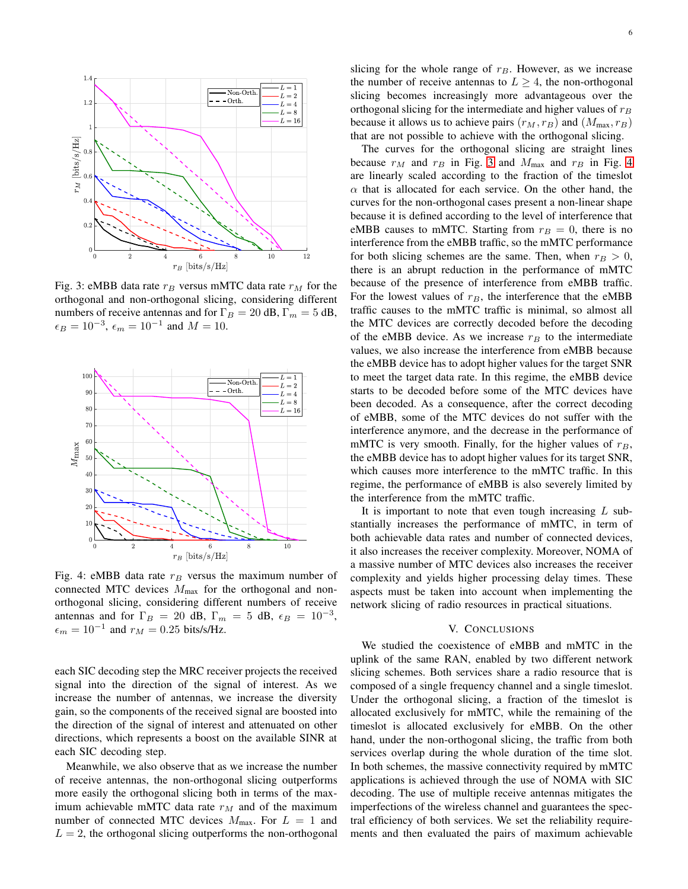<span id="page-5-1"></span>

Fig. 3: eMBB data rate  $r_B$  versus mMTC data rate  $r_M$  for the orthogonal and non-orthogonal slicing, considering different numbers of receive antennas and for  $\Gamma_B = 20$  dB,  $\Gamma_m = 5$  dB,  $\epsilon_B = 10^{-3}, \, \epsilon_m = 10^{-1}$  and  $M = 10$ .

<span id="page-5-2"></span>

Fig. 4: eMBB data rate  $r_B$  versus the maximum number of connected MTC devices  $M_{\text{max}}$  for the orthogonal and nonorthogonal slicing, considering different numbers of receive antennas and for  $\Gamma_B = 20$  dB,  $\Gamma_m = 5$  dB,  $\epsilon_B = 10^{-3}$ ,  $\epsilon_m = 10^{-1}$  and  $r_M = 0.25$  bits/s/Hz.

each SIC decoding step the MRC receiver projects the received signal into the direction of the signal of interest. As we increase the number of antennas, we increase the diversity gain, so the components of the received signal are boosted into the direction of the signal of interest and attenuated on other directions, which represents a boost on the available SINR at each SIC decoding step.

Meanwhile, we also observe that as we increase the number of receive antennas, the non-orthogonal slicing outperforms more easily the orthogonal slicing both in terms of the maximum achievable mMTC data rate  $r_M$  and of the maximum number of connected MTC devices  $M_{\text{max}}$ . For  $L = 1$  and  $L = 2$ , the orthogonal slicing outperforms the non-orthogonal slicing for the whole range of  $r_B$ . However, as we increase the number of receive antennas to  $L > 4$ , the non-orthogonal slicing becomes increasingly more advantageous over the orthogonal slicing for the intermediate and higher values of  $r_B$ because it allows us to achieve pairs  $(r_M, r_B)$  and  $(M_{\text{max}}, r_B)$ that are not possible to achieve with the orthogonal slicing.

The curves for the orthogonal slicing are straight lines because  $r_M$  and  $r_B$  in Fig. [3](#page-5-1) and  $M_{\text{max}}$  and  $r_B$  in Fig. [4](#page-5-2) are linearly scaled according to the fraction of the timeslot  $\alpha$  that is allocated for each service. On the other hand, the curves for the non-orthogonal cases present a non-linear shape because it is defined according to the level of interference that eMBB causes to mMTC. Starting from  $r_B = 0$ , there is no interference from the eMBB traffic, so the mMTC performance for both slicing schemes are the same. Then, when  $r_B > 0$ , there is an abrupt reduction in the performance of mMTC because of the presence of interference from eMBB traffic. For the lowest values of  $r_B$ , the interference that the eMBB traffic causes to the mMTC traffic is minimal, so almost all the MTC devices are correctly decoded before the decoding of the eMBB device. As we increase  $r_B$  to the intermediate values, we also increase the interference from eMBB because the eMBB device has to adopt higher values for the target SNR to meet the target data rate. In this regime, the eMBB device starts to be decoded before some of the MTC devices have been decoded. As a consequence, after the correct decoding of eMBB, some of the MTC devices do not suffer with the interference anymore, and the decrease in the performance of mMTC is very smooth. Finally, for the higher values of  $r_B$ , the eMBB device has to adopt higher values for its target SNR, which causes more interference to the mMTC traffic. In this regime, the performance of eMBB is also severely limited by the interference from the mMTC traffic.

It is important to note that even tough increasing  $L$  substantially increases the performance of mMTC, in term of both achievable data rates and number of connected devices, it also increases the receiver complexity. Moreover, NOMA of a massive number of MTC devices also increases the receiver complexity and yields higher processing delay times. These aspects must be taken into account when implementing the network slicing of radio resources in practical situations.

#### V. CONCLUSIONS

<span id="page-5-0"></span>We studied the coexistence of eMBB and mMTC in the uplink of the same RAN, enabled by two different network slicing schemes. Both services share a radio resource that is composed of a single frequency channel and a single timeslot. Under the orthogonal slicing, a fraction of the timeslot is allocated exclusively for mMTC, while the remaining of the timeslot is allocated exclusively for eMBB. On the other hand, under the non-orthogonal slicing, the traffic from both services overlap during the whole duration of the time slot. In both schemes, the massive connectivity required by mMTC applications is achieved through the use of NOMA with SIC decoding. The use of multiple receive antennas mitigates the imperfections of the wireless channel and guarantees the spectral efficiency of both services. We set the reliability requirements and then evaluated the pairs of maximum achievable